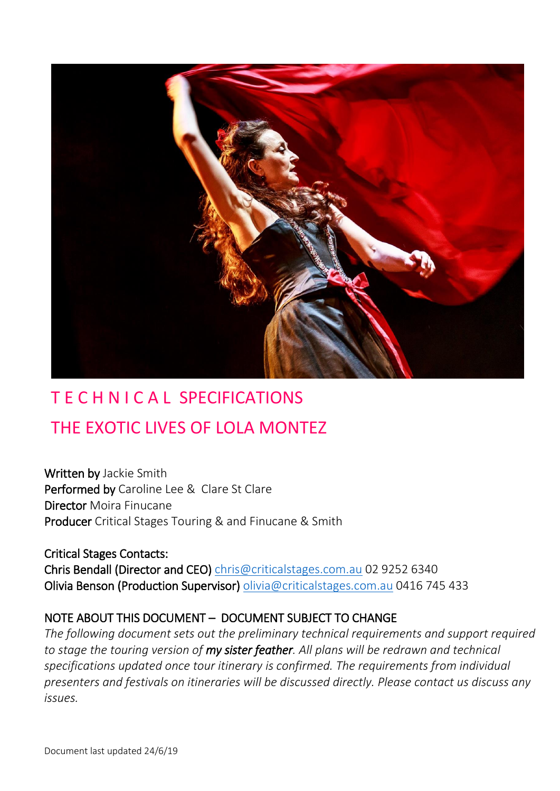

# T E C H N I C A L SPECIFICATIONS THE EXOTIC LIVES OF LOLA MONTEZ

Written by Jackie Smith Performed by Caroline Lee & Clare St Clare Director Moira Finucane Producer Critical Stages Touring & and Finucane & Smith

Critical Stages Contacts: Chris Bendall (Director and CEO) [chris@criticalstages.com.au](mailto:chris@criticalstages.com.au) 02 9252 6340 Olivia Benson (Production Supervisor) [olivia@criticalstages.com.au](mailto:olivia@criticalstages.com.au) 0416 745 433

# NOTE ABOUT THIS DOCUMENT – DOCUMENT SUBJECT TO CHANGE

*The following document sets out the preliminary technical requirements and support required to stage the touring version of my sister feather. All plans will be redrawn and technical specifications updated once tour itinerary is confirmed. The requirements from individual presenters and festivals on itineraries will be discussed directly. Please contact us discuss any issues.*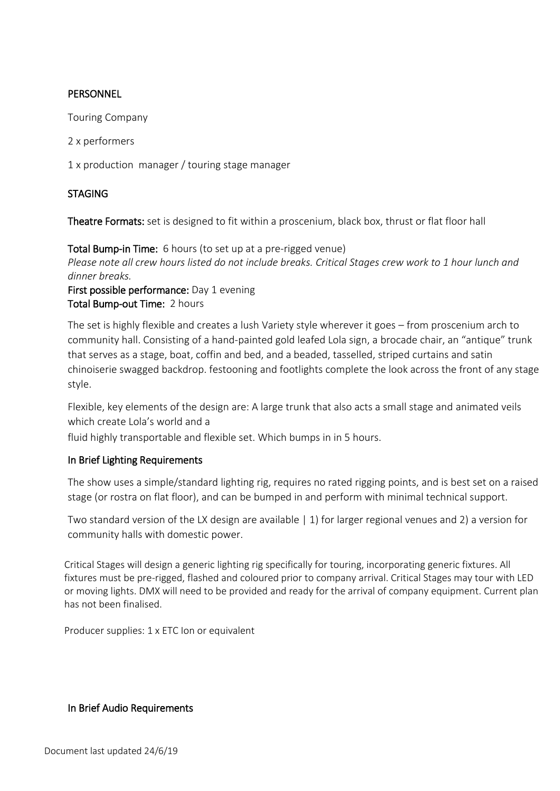# PERSONNEL

Touring Company

2 x performers

1 x production manager / touring stage manager

# STAGING

Theatre Formats: set is designed to fit within a proscenium, black box, thrust or flat floor hall

Total Bump-in Time: 6 hours (to set up at a pre-rigged venue) *Please note all crew hours listed do not include breaks. Critical Stages crew work to 1 hour lunch and dinner breaks.* First possible performance: Day 1 evening

Total Bump-out Time: 2 hours

The set is highly flexible and creates a lush Variety style wherever it goes – from proscenium arch to community hall. Consisting of a hand-painted gold leafed Lola sign, a brocade chair, an "antique" trunk that serves as a stage, boat, coffin and bed, and a beaded, tasselled, striped curtains and satin chinoiserie swagged backdrop. festooning and footlights complete the look across the front of any stage style.

Flexible, key elements of the design are: A large trunk that also acts a small stage and animated veils which create Lola's world and a

fluid highly transportable and flexible set. Which bumps in in 5 hours.

# In Brief Lighting Requirements

The show uses a simple/standard lighting rig, requires no rated rigging points, and is best set on a raised stage (or rostra on flat floor), and can be bumped in and perform with minimal technical support.

Two standard version of the LX design are available | 1) for larger regional venues and 2) a version for community halls with domestic power.

Critical Stages will design a generic lighting rig specifically for touring, incorporating generic fixtures. All fixtures must be pre-rigged, flashed and coloured prior to company arrival. Critical Stages may tour with LED or moving lights. DMX will need to be provided and ready for the arrival of company equipment. Current plan has not been finalised.

Producer supplies: 1 x ETC Ion or equivalent

#### In Brief Audio Requirements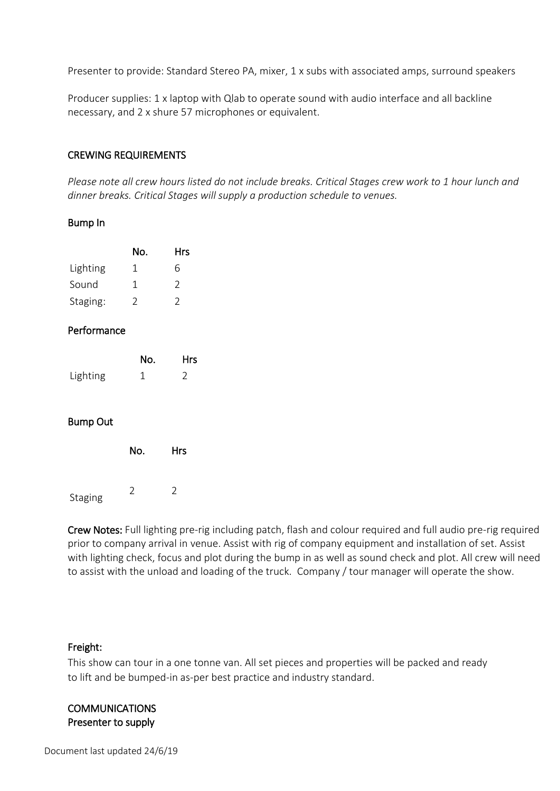Presenter to provide: Standard Stereo PA, mixer, 1 x subs with associated amps, surround speakers

Producer supplies: 1 x laptop with Qlab to operate sound with audio interface and all backline necessary, and 2 x shure 57 microphones or equivalent.

#### CREWING REQUIREMENTS

*Please note all crew hours listed do not include breaks. Critical Stages crew work to 1 hour lunch and dinner breaks. Critical Stages will supply a production schedule to venues.*

#### Bump In

|          | No. | <b>Hrs</b>    |
|----------|-----|---------------|
| Lighting | Ί   | 6             |
| Sound    | 1   | $\mathcal{P}$ |
| Staging: | 2   | $\mathcal{L}$ |

# Performance

|          | No. | <b>Hrs</b> |
|----------|-----|------------|
| Lighting |     |            |

# Bump Out

|         | No. | <b>Hrs</b> |
|---------|-----|------------|
| Staging | C   | 2          |

Crew Notes: Full lighting pre-rig including patch, flash and colour required and full audio pre-rig required prior to company arrival in venue. Assist with rig of company equipment and installation of set. Assist with lighting check, focus and plot during the bump in as well as sound check and plot. All crew will need to assist with the unload and loading of the truck. Company / tour manager will operate the show.

#### Freight:

This show can tour in a one tonne van. All set pieces and properties will be packed and ready to lift and be bumped-in as-per best practice and industry standard.

# **COMMUNICATIONS** Presenter to supply